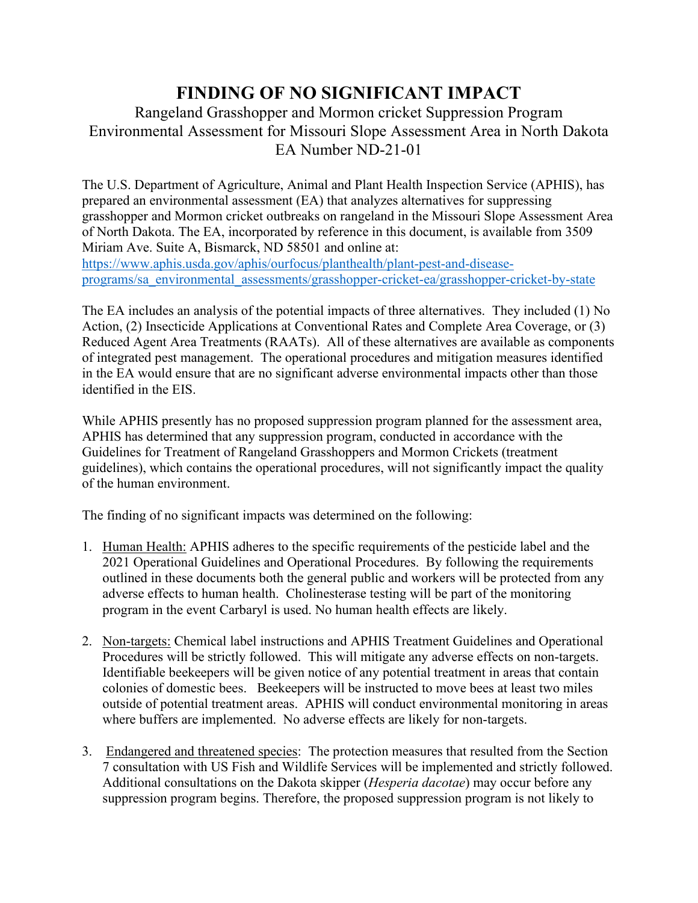## **FINDING OF NO SIGNIFICANT IMPACT**

## Rangeland Grasshopper and Mormon cricket Suppression Program Environmental Assessment for Missouri Slope Assessment Area in North Dakota EA Number ND-21-01

The U.S. Department of Agriculture, Animal and Plant Health Inspection Service (APHIS), has prepared an environmental assessment (EA) that analyzes alternatives for suppressing grasshopper and Mormon cricket outbreaks on rangeland in the Missouri Slope Assessment Area of North Dakota. The EA, incorporated by reference in this document, is available from 3509 Miriam Ave. Suite A, Bismarck, ND 58501 and online at: [https://www.aphis.usda.gov/aphis/ourfocus/planthealth/plant-pest-and-disease](https://www.aphis.usda.gov/aphis/ourfocus/planthealth/plant-pest-and-disease-programs/sa_environmental_assessments/grasshopper-cricket-ea/grasshopper-cricket-by-state)[programs/sa\\_environmental\\_assessments/grasshopper-cricket-ea/grasshopper-cricket-by-state](https://www.aphis.usda.gov/aphis/ourfocus/planthealth/plant-pest-and-disease-programs/sa_environmental_assessments/grasshopper-cricket-ea/grasshopper-cricket-by-state)

The EA includes an analysis of the potential impacts of three alternatives. They included (1) No Action, (2) Insecticide Applications at Conventional Rates and Complete Area Coverage, or (3) Reduced Agent Area Treatments (RAATs). All of these alternatives are available as components of integrated pest management. The operational procedures and mitigation measures identified in the EA would ensure that are no significant adverse environmental impacts other than those identified in the EIS.

While APHIS presently has no proposed suppression program planned for the assessment area, APHIS has determined that any suppression program, conducted in accordance with the Guidelines for Treatment of Rangeland Grasshoppers and Mormon Crickets (treatment guidelines), which contains the operational procedures, will not significantly impact the quality of the human environment.

The finding of no significant impacts was determined on the following:

- 1. Human Health: APHIS adheres to the specific requirements of the pesticide label and the 2021 Operational Guidelines and Operational Procedures. By following the requirements outlined in these documents both the general public and workers will be protected from any adverse effects to human health. Cholinesterase testing will be part of the monitoring program in the event Carbaryl is used. No human health effects are likely.
- 2. Non-targets: Chemical label instructions and APHIS Treatment Guidelines and Operational Procedures will be strictly followed. This will mitigate any adverse effects on non-targets. Identifiable beekeepers will be given notice of any potential treatment in areas that contain colonies of domestic bees. Beekeepers will be instructed to move bees at least two miles outside of potential treatment areas. APHIS will conduct environmental monitoring in areas where buffers are implemented. No adverse effects are likely for non-targets.
- 3. Endangered and threatened species: The protection measures that resulted from the Section 7 consultation with US Fish and Wildlife Services will be implemented and strictly followed. Additional consultations on the Dakota skipper (*Hesperia dacotae*) may occur before any suppression program begins. Therefore, the proposed suppression program is not likely to